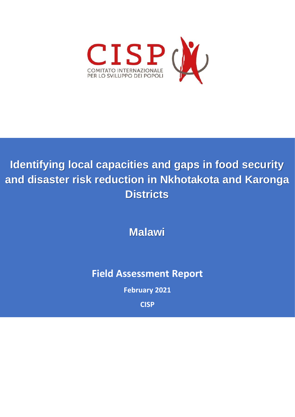

# **Identifying local capacities and gaps in food security and disaster risk reduction in Nkhotakota and Karonga Districts**

**Malawi**

**Field Assessment Report**

**February 2021**

**CISP**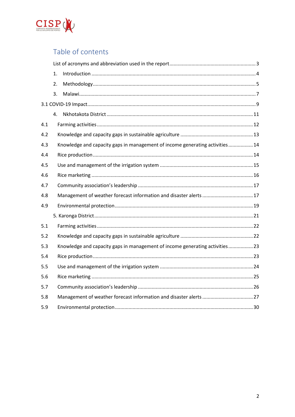

# Table of contents

|     | 1.                                                                           |  |
|-----|------------------------------------------------------------------------------|--|
|     | 2.                                                                           |  |
|     | 3.                                                                           |  |
|     |                                                                              |  |
|     | 4.                                                                           |  |
| 4.1 |                                                                              |  |
| 4.2 |                                                                              |  |
| 4.3 | Knowledge and capacity gaps in management of income generating activities 14 |  |
| 4.4 |                                                                              |  |
| 4.5 |                                                                              |  |
| 4.6 |                                                                              |  |
| 4.7 |                                                                              |  |
| 4.8 |                                                                              |  |
| 4.9 |                                                                              |  |
|     |                                                                              |  |
| 5.1 |                                                                              |  |
| 5.2 |                                                                              |  |
| 5.3 | Knowledge and capacity gaps in management of income generating activities 23 |  |
| 5.4 |                                                                              |  |
| 5.5 |                                                                              |  |
| 5.6 |                                                                              |  |
| 5.7 |                                                                              |  |
| 5.8 |                                                                              |  |
| 5.9 |                                                                              |  |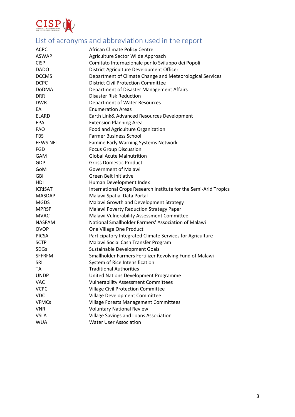

# <span id="page-2-0"></span>List of acronyms and abbreviation used in the report

| <b>ACPC</b>     | African Climate Policy Centre                                    |  |
|-----------------|------------------------------------------------------------------|--|
| <b>ASWAP</b>    | Agriculture Sector Wilde Approach                                |  |
| <b>CISP</b>     | Comitato Internazionale per lo Sviluppo dei Popoli               |  |
| <b>DADO</b>     | District Agriculture Development Officer                         |  |
| <b>DCCMS</b>    | Department of Climate Change and Meteorological Services         |  |
| <b>DCPC</b>     | <b>District Civil Protection Committee</b>                       |  |
| <b>DoDMA</b>    | Department of Disaster Management Affairs                        |  |
| <b>DRR</b>      | <b>Disaster Risk Reduction</b>                                   |  |
| <b>DWR</b>      | Department of Water Resources                                    |  |
| EA              | <b>Enumeration Areas</b>                                         |  |
| <b>ELARD</b>    | Earth Link& Advanced Resources Development                       |  |
| <b>EPA</b>      | <b>Extension Planning Area</b>                                   |  |
| <b>FAO</b>      | Food and Agriculture Organization                                |  |
| <b>FBS</b>      | <b>Farmer Business School</b>                                    |  |
| <b>FEWS NET</b> | Famine Early Warning Systems Network                             |  |
| FGD             | <b>Focus Group Discussion</b>                                    |  |
| GAM             | <b>Global Acute Malnutrition</b>                                 |  |
| GDP             | <b>Gross Domestic Product</b>                                    |  |
| GoM             | <b>Government of Malawi</b>                                      |  |
| <b>GBI</b>      | Green Belt Initiative                                            |  |
| HDI             | Human Development Index                                          |  |
| <b>ICRISAT</b>  | International Crops Research Institute for the Semi-Arid Tropics |  |
| <b>MASDAP</b>   | Malawi Spatial Data Portal                                       |  |
| <b>MGDS</b>     | Malawi Growth and Development Strategy                           |  |
| <b>MPRSP</b>    | Malawi Poverty Reduction Strategy Paper                          |  |
| <b>MVAC</b>     | Malawi Vulnerability Assessment Committee                        |  |
| <b>NASFAM</b>   | National Smallholder Farmers' Association of Malawi              |  |
| <b>OVOP</b>     | One Village One Product                                          |  |
| <b>PICSA</b>    | Participatory Integrated Climate Services for Agriculture        |  |
| <b>SCTP</b>     | Malawi Social Cash Transfer Program                              |  |
| <b>SDGs</b>     | Sustainable Development Goals                                    |  |
| <b>SFFRFM</b>   | Smallholder Farmers Fertilizer Revolving Fund of Malawi          |  |
| SRI             | System of Rice Intensification                                   |  |
| <b>TA</b>       | <b>Traditional Authorities</b>                                   |  |
| <b>UNDP</b>     | United Nations Development Programme                             |  |
| <b>VAC</b>      | <b>Vulnerability Assessment Committees</b>                       |  |
| <b>VCPC</b>     | <b>Village Civil Protection Committee</b>                        |  |
| <b>VDC</b>      | Village Development Committee                                    |  |
| <b>VFMCs</b>    | <b>Village Forests Management Committees</b>                     |  |
| <b>VNR</b>      | <b>Voluntary National Review</b>                                 |  |
| <b>VSLA</b>     | Village Savings and Loans Association                            |  |
| <b>WUA</b>      | <b>Water User Association</b>                                    |  |
|                 |                                                                  |  |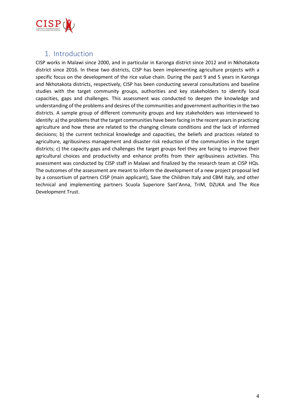

# <span id="page-3-0"></span>1. Introduction

CISP works in Malawi since 2000, and in particular in Karonga district since 2012 and in Nkhotakota district since 2016. In these two districts, CISP has been implementing agriculture projects with a specific focus on the development of the rice value chain. During the past 9 and 5 years in Karonga and Nkhotakota districts, respectively, CISP has been conducting several consultations and baseline studies with the target community groups, authorities and key stakeholders to identify local capacities, gaps and challenges. This assessment was conducted to deepen the knowledge and understanding of the problems and desires of the communities and government authorities in the two districts. A sample group of different community groups and key stakeholders was interviewed to identify: a) the problems that the target communities have been facing in the recent years in practicing agriculture and how these are related to the changing climate conditions and the lack of informed decisions; b) the current technical knowledge and capacities, the beliefs and practices related to agriculture, agribusiness management and disaster risk reduction of the communities in the target districts; c) the capacity gaps and challenges the target groups feel they are facing to improve their agricultural choices and productivity and enhance profits from their agribusiness activities. This assessment was conducted by CISP staff in Malawi and finalized by the research team at CISP HQs. The outcomes of the assessment are meant to inform the development of a new project proposal led by a consortium of partners CISP (main applicant), Save the Children Italy and CBM Italy, and other technical and implementing partners Scuola Superiore Sant'Anna, TriM, DZUKA and The Rice Development Trust.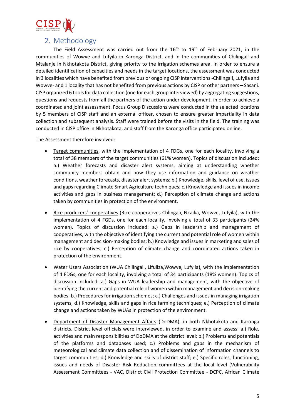

# 2. Methodology

<span id="page-4-0"></span>The Field Assessment was carried out from the  $16<sup>th</sup>$  to  $19<sup>th</sup>$  of February 2021, in the communities of Wowve and Lufyila in Karonga District, and in the communities of Chilingali and Mtalanje in Nkhotakota District, giving priority to the irrigation schemes area. In order to ensure a detailed identification of capacities and needs in the target locations, the assessment was conducted in 3 localities which have benefited from previous or ongoing CISP interventions -Chilingali, Lufyila and Wowve- and 1 locality that has not benefited from previous actions by CISP or other partners – Sasani. CISP organized 6 tools for data collection (one for each group interviewed) by aggregating suggestions, questions and requests from all the partners of the action under development, in order to achieve a coordinated and joint assessment. Focus Group Discussions were conducted in the selected locations by 5 members of CISP staff and an external officer, chosen to ensure greater impartiality in data collection and subsequent analysis. Staff were trained before the visits in the field. The training was conducted in CISP office in Nkhotakota, and staff from the Karonga office participated online.

The Assessment therefore involved:

- Target communities, with the implementation of 4 FDGs, one for each locality, involving a total of 38 members of the target communities (61% women). Topics of discussion included: a.) Weather forecasts and disaster alert systems, aiming at understanding whether community members obtain and how they use information and guidance on weather conditions, weather forecasts, disaster alert systems; b.) Knowledge, skills, level of use, issues and gaps regarding Climate Smart Agriculture techniques; c.) Knowledge and issues in income activities and gaps in business management; d.) Perception of climate change and actions taken by communities in protection of the environment.
- Rice producers' cooperatives (Rice cooperatives Chlingali, Nkaika, Wowve, Lufyila), with the implementation of 4 FGDs, one for each locality, involving a total of 33 participants (24% women). Topics of discussion included: a.) Gaps in leadership and management of cooperatives, with the objective of identifying the current and potential role of women within management and decision-making bodies; b.) Knowledge and issues in marketing and sales of rice by cooperatives; c.) Perception of climate change and coordinated actions taken in protection of the environment.
- Water Users Association (WUA Chilingali, Lifuliza,Wowve, Lufyila), with the implementation of 4 FDGs, one for each locality, involving a total of 34 participants (18% women). Topics of discussion included: a.) Gaps in WUA leadership and management, with the objective of identifying the current and potential role of women within management and decision-making bodies; b.) Procedures for irrigation schemes; c.) Challenges and issues in managing irrigation systems; d.) Knowledge, skills and gaps in rice farming techniques; e.) Perception of climate change and actions taken by WUAs in protection of the environment.
- Department of Disaster Management Affairs (DoDMA), in both Nkhotakota and Karonga districts. District level officials were interviewed, in order to examine and assess: a.) Role, activities and main responsibilities of DoDMA at the district level; b.) Problems and potentials of the platforms and databases used; c.) Problems and gaps in the mechanism of meteorological and climate data collection and of dissemination of information channels to target communities; d.) Knowledge and skills of district staff; e.) Specific roles, functioning, issues and needs of Disaster Risk Reduction committees at the local level (Vulnerability Assessment Committees - VAC, District Civil Protection Committee - DCPC, African Climate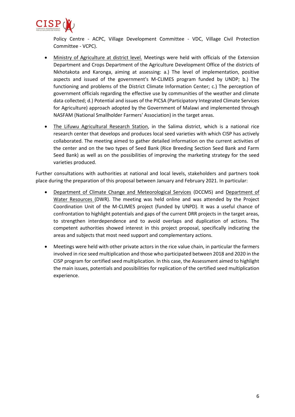

Policy Centre - ACPC, Village Development Committee - VDC, Village Civil Protection Committee - VCPC).

- Ministry of Agriculture at district level. Meetings were held with officials of the Extension Department and Crops Department of the Agriculture Development Office of the districts of Nkhotakota and Karonga, aiming at assessing: a.) The level of implementation, positive aspects and issued of the government's M-CLIMES program funded by UNDP; b.) The functioning and problems of the District Climate Information Center; c.) The perception of government officials regarding the effective use by communities of the weather and climate data collected; d.) Potential and issues of the PICSA (Participatory Integrated Climate Services for Agriculture) approach adopted by the Government of Malawi and implemented through NASFAM (National Smallholder Farmers' Association) in the target areas.
- The Lifuwu Agricultural Research Station, in the Salima district, which is a national rice research center that develops and produces local seed varieties with which CISP has actively collaborated. The meeting aimed to gather detailed information on the current activities of the center and on the two types of Seed Bank (Rice Breeding Section Seed Bank and Farm Seed Bank) as well as on the possibilities of improving the marketing strategy for the seed varieties produced.

Further consultations with authorities at national and local levels, stakeholders and partners took place during the preparation of this proposal between January and February 2021. In particular:

- Department of Climate Change and Meteorological Services (DCCMS) and Department of Water Resources (DWR). The meeting was held online and was attended by the Project Coordination Unit of the M-CLIMES project (funded by UNPD). It was a useful chance of confrontation to highlight potentials and gaps of the current DRR projects in the target areas, to strengthen interdependence and to avoid overlaps and duplication of actions. The competent authorities showed interest in this project proposal, specifically indicating the areas and subjects that most need support and complementary actions.
- Meetings were held with other private actors in the rice value chain, in particular the farmers involved in rice seed multiplication and those who participated between 2018 and 2020 in the CISP program for certified seed multiplication. In this case, the Assessment aimed to highlight the main issues, potentials and possibilities for replication of the certified seed multiplication experience.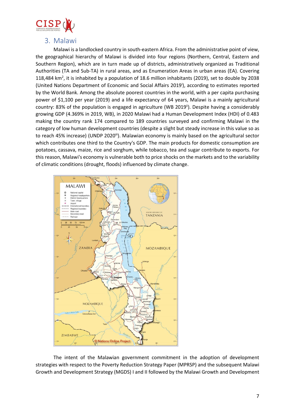

### <span id="page-6-0"></span>3. Malawi

Malawi is a landlocked country in south-eastern Africa. From the administrative point of view, the geographical hierarchy of Malawi is divided into four regions (Northern, Central, Eastern and Southern Region), which are in turn made up of districts, administratively organized as Traditional Authorities (TA and Sub-TA) in rural areas, and as Enumeration Areas in urban areas (EA). Covering 118,484 km<sup>2</sup>, it is inhabited by a population of 18.6 million inhabitants (2019), set to double by 2038 (United Nations Department of Economic and Social Affairs 2019<sup>i</sup>), according to estimates reported by the World Bank. Among the absolute poorest countries in the world, with a per capita purchasing power of \$1,100 per year (2019) and a life expectancy of 64 years, Malawi is a mainly agricultural country: 83% of the population is engaged in agriculture (WB 2019<sup>ii</sup>). Despite having a considerably growing GDP (4.369% in 2019, WB), in 2020 Malawi had a Human Development Index (HDI) of 0.483 making the country rank 174 compared to 189 countries surveyed and confirming Malawi in the category of low human development countries (despite a slight but steady increase in this value so as to reach 45% increase) (UNDP 2020<sup>iii</sup>). Malawian economy is mainly based on the agricultural sector which contributes one third to the Country's GDP. The main products for domestic consumption are potatoes, cassava, maize, rice and sorghum, while tobacco, tea and sugar contribute to exports. For this reason, Malawi's economy is vulnerable both to price shocks on the markets and to the variability of climatic conditions (drought, floods) influenced by climate change.



The intent of the Malawian government commitment in the adoption of development strategies with respect to the Poverty Reduction Strategy Paper (MPRSP) and the subsequent Malawi Growth and Development Strategy (MGDS) I and II followed by the Malawi Growth and Development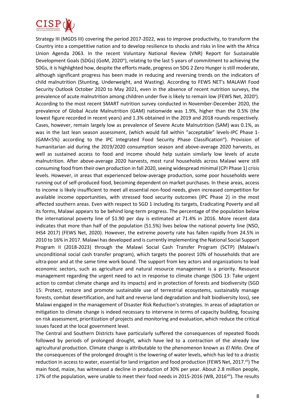

Strategy III (MGDS III) covering the period 2017-2022, was to improve productivity, to transform the Country into a competitive nation and to develop resilience to shocks and risks in line with the Africa Union Agenda 2063. In the recent Voluntary National Review (VNR) Report for Sustainable Development Goals (SDGs) (GoM, 2020<sup>iv</sup>), relating to the last 5 years of commitment to achieving the SDGs, it is highlighted how, despite the efforts made, progress on SDG 2 Zero Hunger is still moderate, although significant progress has been made in reducing and reversing trends on the indicators of child malnutrition (Stunting, Underweight, and Wasting). According to FEWS NET's MALAWI Food Security Outlook October 2020 to May 2021, even in the absence of recent nutrition surveys, the prevalence of acute malnutrition among children under five is likely to remain low (FEWS Net, 2020<sup>v</sup>). According to the most recent SMART nutrition survey conducted in November-December 2020, the prevalence of Global Acute Malnutrition (GAM) nationwide was 1.9%, higher than the 0.5% (the lowest figure recorded in recent years) and 1.3% obtained in the 2019 and 2018 rounds respectively. Cases, however, remain largely low as prevalence of Severe Acute Malnutrition (SAM) was 0.1%, as was in the last lean season assessment, (which would fall within "acceptable" levels-IPC Phase 1- (GAM<5%) according to the IPC Integrated Food Security Phase Classification<sup>vi</sup>). Provision of humanitarian aid during the 2019/2020 consumption season and above-average 2020 harvests, as well as sustained access to food and income should help sustain similarly low levels of acute malnutrition. After above-average 2020 harvests, most rural households across Malawi were still consuming food from their own production in fall 2020, seeing widespread minimal (CPI Phase 1) crisis levels. However, in areas that experienced below-average production, some poor households were running out of self-produced food, becoming dependent on market purchases. In these areas, access to income is likely insufficient to meet all essential non-food needs, given increased competition for available income opportunities, with stressed food security outcomes (IPC Phase 2) in the most affected southern areas. Even with respect to SGD 1 including its targets, Eradicating Poverty and all its forms, Malawi appears to be behind long-term progress. The percentage of the population below the international poverty line of \$1.90 per day is estimated at 71.4% in 2016. More recent data indicates that more than half of the population (51.5%) lives below the national poverty line (NSO, IHS4 2017) (FEWS Net, 2020). However, the extreme poverty rate has fallen rapidly from 24.5% in 2010 to 16% in 2017. Malawi has developed and is currently implementing the National Social Support Program II (2018-2023) through the Malawi Social Cash Transfer Program (SCTP) (Malawi's unconditional social cash transfer program), which targets the poorest 10% of households that are ultra-poor and at the same time work bound. The support from key actors and organizations to lead economic sectors, such as agriculture and natural resource management is a priority. Resource management regarding the urgent need to act in response to climate change (SDG 13: Take urgent action to combat climate change and its impacts) and in protection of forests and biodiversity (SGD 15: Protect, restore and promote sustainable use of terrestrial ecosystems, sustainably manage forests, combat desertification, and halt and reverse land degradation and halt biodiversity loss), see Malawi engaged in the management of Disaster Risk Reduction's strategies. In areas of adaptation or mitigation to climate change is indeed necessary to intervene in terms of capacity building, focusing on risk assessment, prioritization of projects and monitoring and evaluation, which reduce the critical issues faced at the local government level.

The Central and Southern Districts have particularly suffered the consequences of repeated floods followed by periods of prolonged drought, which have led to a contraction of the already low agricultural production. Climate change is attributable to the phenomenon known as *El Niño*. One of the consequences of the prolonged drought is the lowering of water levels, which has led to a drastic reduction in access to water, essential for land irrigation and food production (FEWS Net, 2017.<sup>vii</sup>) The main food, maize, has witnessed a decline in production of 30% per year. About 2.8 million people, 17% of the population, were unable to meet their food needs in 2015-2016 (WB, 2016<sup>viii</sup>). The results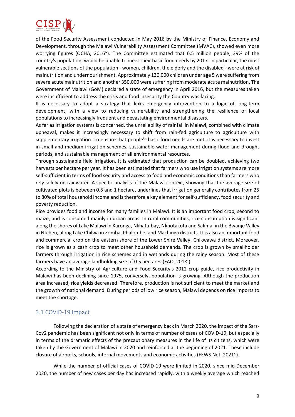

of the Food Security Assessment conducted in May 2016 by the Ministry of Finance, Economy and Development, through the Malawi Vulnerability Assessment Committee (MVAC), showed even more worrying figures (OCHA,  $2016^{\text{iv}}$ ). The Committee estimated that 6.5 million people, 39% of the country's population, would be unable to meet their basic food needs by 2017. In particular, the most vulnerable sections of the population - women, children, the elderly and the disabled - were at risk of malnutrition and undernourishment. Approximately 130,000 children under age 5 were suffering from severe acute malnutrition and another 350,000 were suffering from moderate acute malnutrition. The Government of Malawi (GoM) declared a state of emergency in April 2016, but the measures taken were insufficient to address the crisis and food insecurity the Country was facing.

It is necessary to adopt a strategy that links emergency intervention to a logic of long-term development, with a view to reducing vulnerability and strengthening the resilience of local populations to increasingly frequent and devastating environmental disasters.

As far as irrigation systems is concerned, the unreliability of rainfall in Malawi, combined with climate upheaval, makes it increasingly necessary to shift from rain-fed agriculture to agriculture with supplementary irrigation. To ensure that people's basic food needs are met, it is necessary to invest in small and medium irrigation schemes, sustainable water management during flood and drought periods, and sustainable management of all environmental resources.

Through sustainable field irrigation, it is estimated that production can be doubled, achieving two harvests per hectare per year. It has been estimated that farmers who use irrigation systems are more self-sufficient in terms of food security and access to food and economic conditions than farmers who rely solely on rainwater. A specific analysis of the Malawi context, showing that the average size of cultivated plots is between 0.5 and 1 hectare, underlines that irrigation generally contributes from 25 to 80% of total household income and is therefore a key element for self-sufficiency, food security and poverty reduction.

Rice provides food and income for many families in Malawi. It is an important food crop, second to maize, and is consumed mainly in urban areas. In rural communities, rice consumption is significant along the shores of Lake Malawi in Karonga, Nkhata-bay, Nkhotakota and Salima, in the Bwanje Valley in Ntcheu, along Lake Chilwa in Zomba, Phalombe, and Machinga districts. It is also an important food and commercial crop on the eastern shore of the Lower Shire Valley, Chikwawa district. Moreover, rice is grown as a cash crop to meet other household demands. The crop is grown by smallholder farmers through irrigation in rice schemes and in wetlands during the rainy season. Most of these farmers have an average landholding size of 0.5 hectares (FAO, 2018<sup>x</sup>).

According to the Ministry of Agriculture and Food Security's 2012 crop guide, rice productivity in Malawi has been declining since 1975, conversely, population is growing. Although the production area increased, rice yields decreased. Therefore, production is not sufficient to meet the market and the growth of national demand. During periods of low rice season, Malawi depends on rice imports to meet the shortage.

#### <span id="page-8-0"></span>3.1 COVID-19 Impact

Following the declaration of a state of emergency back in March 2020, the impact of the Sars-Cov2 pandemic has been significant not only in terms of number of cases of COVID-19, but especially in terms of the dramatic effects of the precautionary measures in the life of its citizens, which were taken by the Government of Malawi in 2020 and reinforced at the beginning of 2021. These include closure of airports, schools, internal movements and economic activities (FEWS Net, 2021<sup>xi</sup>).

While the number of official cases of COVID-19 were limited in 2020, since mid-December 2020, the number of new cases per day has increased rapidly, with a weekly average which reached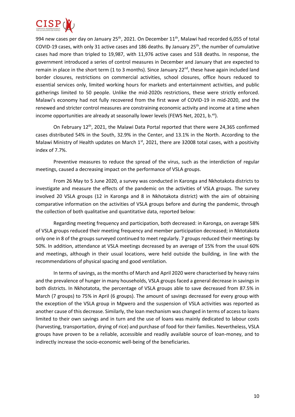

994 new cases per day on January  $25<sup>th</sup>$ , 2021. On December  $11<sup>th</sup>$ , Malawi had recorded 6,055 of total COVID-19 cases, with only 31 active cases and 186 deaths. By January 25<sup>th</sup>, the number of cumulative cases had more than tripled to 19,987, with 11,976 active cases and 518 deaths. In response, the government introduced a series of control measures in December and January that are expected to remain in place in the short term (1 to 3 months). Since January 22<sup>nd</sup>, these have again included land border closures, restrictions on commercial activities, school closures, office hours reduced to essential services only, limited working hours for markets and entertainment activities, and public gatherings limited to 50 people. Unlike the mid-2020s restrictions, these were strictly enforced. Malawi's economy had not fully recovered from the first wave of COVID-19 in mid-2020, and the renewed and stricter control measures are constraining economic activity and income at a time when income opportunities are already at seasonally lower levels (FEWS Net, 2021, b.xii).

On February 12<sup>th</sup>, 2021, the Malawi Data Portal reported that there were 24,365 confirmed cases distributed 54% in the South, 32.9% in the Center, and 13.1% in the North. According to the Malawi Ministry of Health updates on March  $1<sup>st</sup>$ , 2021, there are 32008 total cases, with a positivity index of 7.7%.

Preventive measures to reduce the spread of the virus, such as the interdiction of regular meetings, caused a decreasing impact on the performance of VSLA groups.

From 26 May to 5 June 2020, a survey was conducted in Karonga and Nkhotakota districts to investigate and measure the effects of the pandemic on the activities of VSLA groups. The survey involved 20 VSLA groups (12 in Karonga and 8 in Nkhotakota district) with the aim of obtaining comparative information on the activities of VSLA groups before and during the pandemic, through the collection of both qualitative and quantitative data, reported below:

Regarding meeting frequency and participation, both decreased: in Karonga, on average 58% of VSLA groups reduced their meeting frequency and member participation decreased; in Nktotakota only one in 8 of the groups surveyed continued to meet regularly. 7 groups reduced their meetings by 50%. In addition, attendance at VSLA meetings decreased by an average of 15% from the usual 60% and meetings, although in their usual locations, were held outside the building, in line with the recommendations of physical spacing and good ventilation.

In terms of savings, as the months of March and April 2020 were characterised by heavy rains and the prevalence of hunger in many households, VSLA groups faced a general decrease in savings in both districts. In Nkhotatota, the percentage of VSLA groups able to save decreased from 87.5% in March (7 groups) to 75% in April (6 groups). The amount of savings decreased for every group with the exception of the VSLA group in Mgwero and the suspension of VSLA activities was reported as another cause of this decrease. Similarly, the loan mechanism was changed in terms of access to loans limited to their own savings and in turn and the use of loans was mainly dedicated to labour costs (harvesting, transportation, drying of rice) and purchase of food for their families. Nevertheless, VSLA groups have proven to be a reliable, accessible and readily available source of loan-money, and to indirectly increase the socio-economic well-being of the beneficiaries.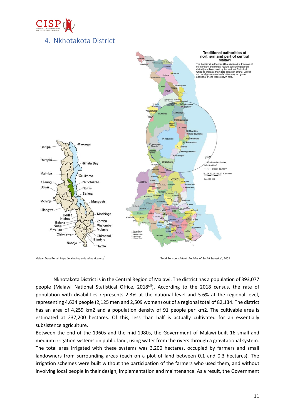

# <span id="page-10-0"></span>4. Nkhotakota District



Malawi Data Portal, https://malawi.opendataforafrica.org/ Todd Benson "*Malawi: An Atlas of Social Statistics*", 2002

Nkhotakota District is in the Central Region of Malawi. The district has a population of 393,077 people (Malawi National Statistical Office, 2018<sup>xiii</sup>). According to the 2018 census, the rate of population with disabilities represents 2.3% at the national level and 5.6% at the regional level, representing 4,634 people (2,125 men and 2,509 women) out of a regional total of 82,134. The district has an area of 4,259 km2 and a population density of 91 people per km2. The cultivable area is estimated at 237,200 hectares. Of this, less than half is actually cultivated for an essentially subsistence agriculture.

Between the end of the 1960s and the mid-1980s, the Government of Malawi built 16 small and medium irrigation systems on public land, using water from the rivers through a gravitational system. The total area irrigated with these systems was 3,200 hectares, occupied by farmers and small landowners from surrounding areas (each on a plot of land between 0.1 and 0.3 hectares). The irrigation schemes were built without the participation of the farmers who used them, and without involving local people in their design, implementation and maintenance. As a result, the Government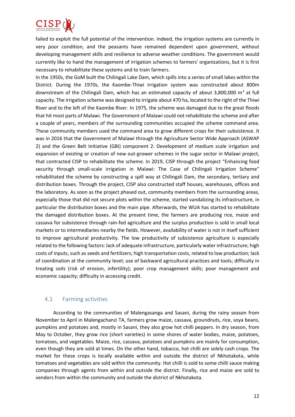

failed to exploit the full potential of the intervention. Indeed, the irrigation systems are currently in very poor condition, and the peasants have remained dependent upon government, without developing management skills and resilience to adverse weather conditions. The government would currently like to hand the management of irrigation schemes to farmers' organizations, but it is first necessary to rehabilitate these systems and to train farmers.

In the 1950s, the GoM built the Chilingali Lake Dam, which spills into a series of small lakes within the District. During the 1970s, the Kaombe-Thiwi irrigation system was constructed about 800m downstream of the Chilingali Dam, which has an estimated capacity of about 3,800,000  $m<sup>3</sup>$  at full capacity. The irrigation scheme was designed to irrigate about 470 ha, located to the right of the Thiwi River and to the left of the Kaombe River. In 1975, the scheme was damaged due to the great floods that hit most parts of Malawi. The Government of Malawi could not rehabilitate the scheme and after a couple of years, members of the surrounding communities occupied the scheme command area. These community members used the command area to grow different crops for their subsistence. It was in 2016 that the Government of Malawi through the Agriculture Sector Wide Approach (ASWAP 2) and the Green Belt Initiative (GBI) component 2: Development of medium scale irrigation and expansion of existing or creation of new out-grower schemes in the sugar sector in Malawi project, that contracted CISP to rehabilitate the scheme. In 2019, CISP through the project "Enhancing food security through small-scale irrigation in Malawi: The Case of Chilingali Irrigation Scheme" rehabilitated the scheme by constructing a spill way at Chilingali Dam, the secondary, tertiary and distribution boxes. Through the project, CISP also constructed staff houses, warehouses, offices and the laboratory. As soon as the project phased out, community members from the surrounding areas, especially those that did not secure plots within the scheme, started vandalizing its infrastructure, in particular the distribution boxes and the main pipe. Afterwards, the WUA has started to rehabilitate the damaged distribution boxes. At the present time, the farmers are producing rice, maize and cassava for subsistence through rain-fed agriculture and the surplus production is sold in small local markets or to intermediaries nearby the fields. However, availability of water is not in itself sufficient to improve agricultural productivity. The low productivity of subsistence agriculture is especially related to the following factors: lack of adequate infrastructure, particularly water infrastructure; high costs of inputs, such as seeds and fertilizers; high transportation costs, related to low production; lack of coordination at the community level; use of backward agricultural practices and tools; difficulty in treating soils (risk of erosion, infertility); poor crop management skills; poor management and economic capacity; difficulty in accessing credit.

#### <span id="page-11-0"></span>4.1 Farming activities

According to the communities of Malengasanga and Sasani, during the rainy season from November to April in Malengachanzi TA, farmers grow maize, cassava, groundnuts, rice, soya beans, pumpkins and potatoes and, mostly in Sasani, they also grow hot chilli peppers. In dry season, from May to October, they grow rice (short varieties) in some shores of water bodies, maize, potatoes, tomatoes, and vegetables. Maize, rice, cassava, potatoes and pumpkins are mainly for consumption, even though they are sold at times. On the other hand, tobacco, hot chilli are solely cash crops. The market for these crops is locally available within and outside the district of Nkhotakota, while tomatoes and vegetables are sold within the community. Hot chilli is sold to some chilli sauce making companies through agents from within and outside the district. Finally, rice and maize are sold to vendors from within the community and outside the district of Nkhotakota.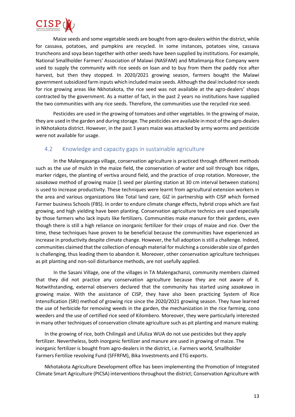

Maize seeds and some vegetable seeds are bought from agro-dealers within the district, while for cassava, potatoes, and pumpkins are recycled. In some instances, potatoes vine, cassava truncheons and soya bean together with other seeds have been supplied by institutions. For example, National Smallholder Farmers' Association of Malawi (NASFAM) and Mtalimanja Rice Company were used to supply the community with rice seeds on loan and to buy from them the paddy rice after harvest, but then they stopped. In 2020/2021 growing season, farmers bought the Malawi government subsidized farm inputs which included maize seeds. Although the deal included rice seeds for rice growing areas like Nkhotakota, the rice seed was not available at the agro-dealers' shops contracted by the government. As a matter of fact, in the past 2 years no institutions have supplied the two communities with any rice seeds. Therefore, the communities use the recycled rice seed.

Pesticides are used in the growing of tomatoes and other vegetables. In the growing of maize, they are used in the garden and during storage. The pesticides are available in most of the agro-dealers in Nkhotakota district. However, in the past 3 years maize was attacked by army worms and pesticide were not available for usage.

#### <span id="page-12-0"></span>4.2 Knowledge and capacity gaps in sustainable agriculture

In the Malengasanga village, conservation agriculture is practiced through different methods such as the use of mulch in the maize field, the conservation of water and soil through box ridges, marker ridges, the planting of vertiva around field, and the practice of crop rotation. Moreover, the *sasakawa* method of growing maize (1 seed per planting station at 30 cm interval between stations) is used to increase productivity. These techniques were learnt from agricultural extension workers in the area and various organizations like Total land care, GIZ in partnership with CISP which formed Farmer business Schools (FBS). In order to endure climate change effects, hybrid crops which are fast growing, and high yielding have been planting. Conservation agriculture technics are used especially by those farmers who lack inputs like fertilizers. Communities make manure for their gardens, even though there is still a high reliance on inorganic fertilizer for their crops of maize and rice. Over the time, these techniques have proven to be beneficial because the communities have experienced an increase in productivity despite climate change. However, the full adoption is still a challenge. Indeed, communities claimed that the collection of enough material for mulching a considerable size of garden is challenging, thus leading them to abandon it. Moreover, other conservation agriculture techniques as pit planting and non-soil disturbance methods, are not usefully applied.

In the Sasani Village, one of the villages in TA Malengachanzi, community members claimed that they did not practice any conservation agriculture because they are not aware of it. Notwithstanding, external observers declared that the community has started using *sasakawa* in growing maize. With the assistance of CISP, they have also been practicing System of Rice Intensification (SRI) method of growing rice since the 2020/2021 growing season. They have learned the use of herbicide for removing weeds in the garden, the mechanization in the rice farming, cono weeders and the use of certified rice seed of Kilombero. Moreover, they were particularly interested in many other techniques of conservation climate agriculture such as pit planting and manure making.

In the growing of rice, both Chilingali and Lifuliza WUA do not use pesticides but they apply fertilizer. Nevertheless, both inorganic fertilizer and manure are used in growing of maize. The inorganic fertilizer is bought from agro-dealers in the district, i.e. Farmers world, Smallholder Farmers Fertilize revolving Fund (SFFRFM), Bika Investments and ETG exports.

Nkhotakota Agriculture Development office has been implementing the Promotion of Integrated Climate Smart Agriculture (PICSA) interventions throughout the district; Conservation Agriculture with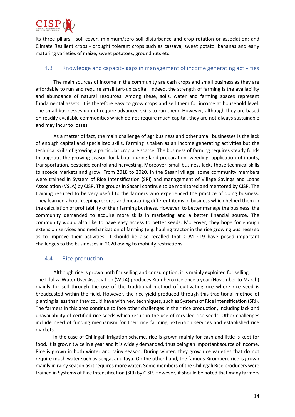

its three pillars - soil cover, minimum/zero soil disturbance and crop rotation or association; and Climate Resilient crops - drought tolerant crops such as cassava, sweet potato, bananas and early maturing varieties of maize, sweet potatoes, groundnuts etc.

#### <span id="page-13-0"></span>4.3 Knowledge and capacity gaps in management of income generating activities

The main sources of income in the community are cash crops and small business as they are affordable to run and require small tart-up capital. Indeed, the strength of farming is the availability and abundance of natural resources. Among these, soils, water and farming spaces represent fundamental assets. It is therefore easy to grow crops and sell them for income at household level. The small businesses do not require advanced skills to run them. However, although they are based on readily available commodities which do not require much capital, they are not always sustainable and may incur to losses.

As a matter of fact, the main challenge of agribusiness and other small businesses is the lack of enough capital and specialized skills. Farming is taken as an income generating activities but the technical skills of growing a particular crop are scarce. The business of farming requires steady funds throughout the growing season for labour during land preparation, weeding, application of inputs, transportation, pesticide control and harvesting. Moreover, small business lacks those technical skills to accede markets and grow. From 2018 to 2020, in the Sasani village, some community members were trained in System of Rice Intensification (SRI) and management of Village Savings and Loans Association (VSLA) by CISP. The groups in Sasani continue to be monitored and mentored by CISP. The training resulted to be very useful to the farmers who experienced the practice of doing business. They learned about keeping records and measuring different items in business which helped them in the calculation of profitability of their farming business. However, to better manage the business, the community demanded to acquire more skills in marketing and a better financial source. The community would also like to have easy access to better seeds. Moreover, they hope for enough extension services and mechanization of farming (e.g. hauling tractor in the rice growing business) so as to improve their activities. It should be also recalled that COVID-19 have posed important challenges to the businesses in 2020 owing to mobility restrictions.

#### <span id="page-13-1"></span>4.4 Rice production

Although rice is grown both for selling and consumption, it is mainly exploited for selling. The Lifuliza Water User Association (WUA) produces Kiombero rice once a year (November to March) mainly for sell through the use of the traditional method of cultivating rice where rice seed is broadcasted within the field. However, the rice yield produced through this traditional method of planting is less than they could have with new techniques, such as Systems of Rice Intensification (SRI). The farmers in this area continue to face other challenges in their rice production, including lack and unavailability of certified rice seeds which result in the use of recycled rice seeds. Other challenges include need of funding mechanism for their rice farming, extension services and established rice markets.

In the case of Chilingali irrigation scheme, rice is grown mainly for cash and little is kept for food. It is grown twice in a year and it is widely demanded, thus being an important source of income. Rice is grown in both winter and rainy season. During winter, they grow rice varieties that do not require much water such as senga, and faya. On the other hand, the famous Kirombero rice is grown mainly in rainy season as it requires more water. Some members of the Chilingali Rice producers were trained in Systems of Rice Intensification (SRI) by CISP. However, it should be noted that many farmers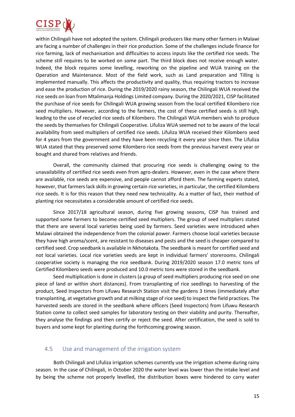

within Chilingali have not adopted the system. Chilingali producers like many other farmers in Malawi are facing a number of challenges in their rice production. Some of the challenges include finance for rice farming, lack of mechanisation and difficulties to access inputs like the certified rice seeds. The scheme still requires to be worked on some part. The third block does not receive enough water. Indeed, the block requires some levelling, reworking on the pipeline and WUA training on the Operation and Maintenance. Most of the field work, such as Land preparation and Tilling is implemented manually. This affects the productivity and quality, thus requiring tractors to increase and ease the production of rice. During the 2019/2020 rainy season, the Chilingali WUA received the rice seeds on loan from Mtalimanja Holdings Limited company. During the 2020/2021, CISP facilitated the purchase of rice seeds for Chilingali WUA growing season from the local certified Kilombero rice seed multipliers. However, according to the farmers, the cost of these certified seeds is still high, leading to the use of recycled rice seeds of Kilombero. The Chilingali WUA members wish to produce the seeds by themselves for Chilingali Cooperative. Lifuliza WUA seemed not to be aware of the local availability from seed multipliers of certified rice seeds. Lifuliza WUA received their Kilombero seed for 4 years from the government and they have been recycling it every year since then. The Lifuliza WUA stated that they preserved some Kilombero rice seeds from the previous harvest every year or bought and shared from relatives and friends.

Overall, the community claimed that procuring rice seeds is challenging owing to the unavailability of certified rice seeds even from agro-dealers. However, even in the case where there are available, rice seeds are expensive, and people cannot afford them. The farming experts stated, however, that farmers lack skills in growing certain rice varieties, in particular, the certified Kilombero rice seeds. It is for this reason that they need new technicality. As a matter of fact, their method of planting rice necessitates a considerable amount of certified rice seeds.

Since 2017/18 agricultural season, during five growing seasons, CISP has trained and supported some farmers to become certified seed multipliers. The group of seed multipliers stated that there are several local varieties being used by farmers. Seed varieties were introduced when Malawi obtained the independence from the colonial power. Farmers choose local varieties because they have high aroma/scent, are resistant to diseases and pests and the seed is cheaper compared to certified seed. Crop seedbank is available in Nkhotakota. The seedbank is meant for certified seed and not local varieties. Local rice varieties seeds are kept in individual farmers' storerooms. Chilingali cooperative society is managing the rice seedbank. During 2019/2020 season 17.0 metric tons of Certified Kilombero seeds were produced and 10.0 metric tons were stored in the seedbank.

Seed multiplication is done in clusters (a group of seed multipliers producing rice seed on one piece of land or within short distances). From transplanting of rice seedlings to harvesting of the product, Seed Inspectors from Lifuwu Research Station visit the gardens 3 times (immediately after transplanting, at vegetative growth and at milking stage of rice seed) to inspect the field practices. The harvested seeds are stored in the seedbank where officers (Seed Inspectors) from Lifuwu Research Station come to collect seed samples for laboratory testing on their viability and purity. Thereafter, they analyse the findings and then certify or reject the seed. After certification, the seed is sold to buyers and some kept for planting during the forthcoming growing season.

#### <span id="page-14-0"></span>4.5 Use and management of the irrigation system

Both Chilingali and Lifuliza irrigation schemes currently use the irrigation scheme during rainy season. In the case of Chilingali, in October 2020 the water level was lower than the intake level and by being the scheme not properly levelled, the distribution boxes were hindered to carry water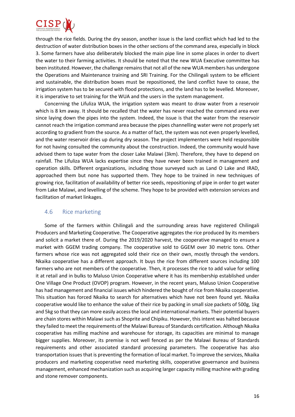

through the rice fields. During the dry season, another issue is the land conflict which had led to the destruction of water distribution boxes in the other sections of the command area, especially in block 3. Some farmers have also deliberately blocked the main pipe line in some places in order to divert the water to their farming activities. It should be noted that the new WUA Executive committee has been instituted. However, the challenge remains that not all of the new WUA members has undergone the Operations and Maintenance training and SRI Training. For the Chilingali system to be efficient and sustainable, the distribution boxes must be repositioned, the land conflict have to cease, the irrigation system has to be secured with flood protections, and the land has to be levelled. Moreover, it is imperative to set training for the WUA and the users in the system management.

Concerning the Lifuliza WUA, the irrigation system was meant to draw water from a reservoir which is 8 km away. It should be recalled that the water has never reached the command area ever since laying down the pipes into the system. Indeed, the issue is that the water from the reservoir cannot reach the irrigation command area because the pipes channelling water were not properly set according to gradient from the source. As a matter of fact, the system was not even properly levelled, and the water reservoir dries up during dry season. The project implementers were held responsible for not having consulted the community about the construction. Indeed, the community would have advised them to tape water from the closer Lake Malawi (3km). Therefore, they have to depend on rainfall. The Lifuliza WUA lacks expertise since they have never been trained in management and operation skills. Different organizations, including those surveyed such as Land O Lake and IRAD, approached them but none has supported them. They hope to be trained in new techniques of growing rice, facilitation of availability of better rice seeds, repositioning of pipe in order to get water from Lake Malawi, and levelling of the scheme. They hope to be provided with extension services and facilitation of market linkages.

#### <span id="page-15-0"></span>4.6 Rice marketing

Some of the farmers within Chilingali and the surrounding areas have registered Chilingali Producers and Marketing Cooperative. The Cooperative aggregates the rice produced by its members and solicit a market there of. During the 2019/2020 harvest, the cooperative managed to ensure a market with GGEM trading company. The cooperative sold to GGEM over 30 metric tons. Other farmers whose rice was not aggregated sold their rice on their own, mostly through the vendors. Nkaika cooperative has a different approach. It buys the rice from different sources including 100 farmers who are not members of the cooperative. Then, it processes the rice to add value for selling it at retail and in bulks to Maluso Union Cooperative where it has its membership established under One Village One Product (OVOP) program. However, in the recent years, Maluso Union Cooperative has had management and financial issues which hindered the bought of rice from Nkaika cooperative. This situation has forced Nkaika to search for alternatives which have not been found yet. Nkaika cooperative would like to enhance the value of their rice by packing in small size packets of 500g, 1kg and 5kg so that they can more easily accessthe local and international markets. Their potential buyers are chain stores within Malawi such as Shoprite and Chipiku. However, this intent was halted because they failed to meet the requirements of the Malawi Bureau of Standards certification. Although Nkaika cooperative has milling machine and warehouse for storage, its capacities are minimal to manage bigger supplies. Moreover, its premise is not well fenced as per the Malawi Bureau of Standards requirements and other associated standard processing parameters. The cooperative has also transportation issues that is preventing the formation of local market. To improve the services, Nkaika producers and marketing cooperative need marketing skills, cooperative governance and business management, enhanced mechanization such as acquiring larger capacity milling machine with grading and stone remover components.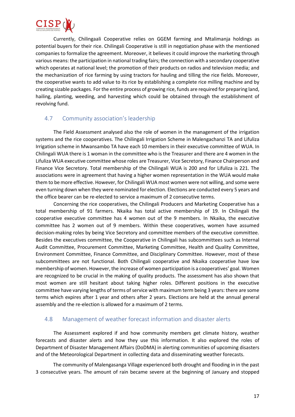

Currently, Chilingaali Cooperative relies on GGEM farming and Mtalimanja holdings as potential buyers for their rice. Chilingali Cooperative is still in negotiation phase with the mentioned companies to formalize the agreement. Moreover, it believes it could improve the marketing through various means: the participation in national trading fairs; the connection with a secondary cooperative which operates at national level; the promotion of their products on radios and television media; and the mechanization of rice farming by using tractors for hauling and tilling the rice fields. Moreover, the cooperative wants to add value to its rice by establishing a complete rice milling machine and by creating sizable packages. For the entire process of growing rice, funds are required for preparing land, hailing, planting, weeding, and harvesting which could be obtained through the establishment of revolving fund.

#### <span id="page-16-0"></span>4.7 Community association's leadership

The Field Assessment analysed also the role of women in the management of the irrigation systems and the rice cooperatives. The Chilingali Irrigation Scheme in Malengachanzi TA and Lifuliza Irrigation scheme in Mwansambo TA have each 10 members in their executive committee of WUA. In Chilingali WUA there is 1 woman in the committee who is the Treasurer and there are 4 women in the Lifuliza WUA executive committee whose roles are Treasurer, Vice Secretory, Finance Chairperson and Finance Vice Secretory. Total membership of the Chilingali WUA is 200 and for Lifuliza is 221. The associations were in agreement that having a higher women representation in the WUA would make them to be more effective. However, for Chilingali WUA most women were not willing, and some were even turning down when they were nominated for election. Elections are conducted every 5 years and the office bearer can be re-elected to service a maximum of 2 consecutive terms.

Concerning the rice cooperatives, the Chilingali Producers and Marketing Cooperative has a total membership of 91 farmers. Nkaika has total active membership of 19. In Chilingali the cooperative executive committee has 4 women out of the 9 members. In Nkaika, the executive committee has 2 women out of 9 members. Within these cooperatives, women have assumed decision-making roles by being Vice Secretory and committee members of the executive committee. Besides the executives committee, the Cooperative in Chilingali has subcommittees such as Internal Audit Committee, Procurement Committee, Marketing Committee, Health and Quality Committee, Environment Committee, Finance Committee, and Disciplinary Committee. However, most of these subcommittees are not functional. Both Chilingali cooperative and Nkaika cooperative have low membership of women. However, the increase of women participation is a cooperatives' goal. Women are recognized to be crucial in the making of quality products. The assessment has also shown that most women are still hesitant about taking higher roles. Different positions in the executive committee have varying lengths of terms of service with maximum term being 3 years: there are some terms which expires after 1 year and others after 2 years. Elections are held at the annual general assembly and the re-election is allowed for a maximum of 2 terms.

#### <span id="page-16-1"></span>4.8 Management of weather forecast information and disaster alerts

The Assessment explored if and how community members get climate history, weather forecasts and disaster alerts and how they use this information. It also explored the roles of Department of Disaster Management Affairs (DoDMA) in alerting communities of upcoming disasters and of the Meteorological Department in collecting data and disseminating weather forecasts.

The community of Malengasanga Village experienced both drought and flooding in in the past 3 consecutive years. The amount of rain became severe at the beginning of January and stopped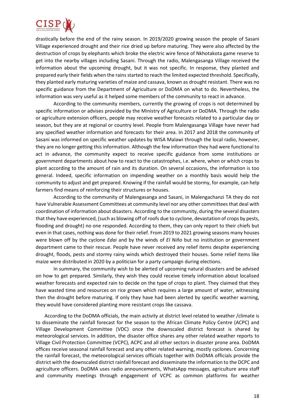

drastically before the end of the rainy season. In 2019/2020 growing season the people of Sasani Village experienced drought and their rice dried up before maturing. They were also affected by the destruction of crops by elephants which broke the electric wire fence of Nkhotakota game reserve to get into the nearby villages including Sasani. Through the radio, Malengasanga Village received the information about the upcoming drought, but it was not specific. In response, they planted and prepared early their fields when the rains started to reach the limited expected threshold. Specifically, they planted early maturing varieties of maize and cassava, known as drought resistant. There was no specific guidance from the Department of Agriculture or DoDMA on what to do. Nevertheless, the information was very useful as it helped some members of the community to react in advance.

According to the community members, currently the growing of crops is not determined by specific information or advises provided by the Ministry of Agriculture or DoDMA. Through the radio or agriculture extension officers, people may receive weather forecasts related to a particular day or season, but they are at regional or country level. People from Malengasanga Village have never had any specified weather information and forecasts for their area. In 2017 and 2018 the community of Sasani was informed on specific weather updates by WISA Malawi through the local radio, however, they are no longer getting this information. Although the few information they had were functional to act in advance, the community expect to receive specific guidance from some institutions or government departments about how to react to the catastrophes, i.e. where, when or which crops to plant according to the amount of rain and its duration. On several occasions, the information is too general. Indeed, specific information on impending weather on a monthly basis would help the community to adjust and get prepared. Knowing if the rainfall would be stormy, for example, can help farmers find means of reinforcing their structures or houses.

According to the community of Malengasanga and Sasani, in Malengachanzi TA they do not have Vulnerable Assessment Committees at community level nor any other committees that deal with coordination of information about disasters. According to the community, during the several disasters that they have experienced, (such as blowing off of roofs due to cyclone, devastation of crops by pests, flooding and drought) no one responded. According to them, they can only report to their chiefs but even in that cases, nothing was done for their relief. From 2019 to 2021 growing seasons many houses were blown off by the cyclone *Edai* and by the winds of *El Niño* but no institution or government department came to their rescue. People have never received any relief items despite experiencing drought, floods, pests and stormy rainy winds which destroyed their houses. Some relief items like maize were distributed in 2020 by a politician for a party campaign during elections.

In summary, the community wish to be alerted of upcoming natural disasters and be advised on how to get prepared. Similarly, they wish they could receive timely information about localised weather forecasts and expected rain to decide on the type of crops to plant. They claimed that they have wasted time and resources on rice grown which requires a large amount of water, witnessing then the drought before maturing. If only they have had been alerted by specific weather warning, they would have considered planting more resistant crops like cassava.

According to the DoDMA officials, the main activity at district level related to weather /climate is to disseminate the rainfall forecast for the season to the African Climate Policy Centre (ACPC) and Village Development Committee (VDC) once the downscaled district forecast is shared by meteorological services. In addition, the disaster office shares any other related weather reports to Village Civil Protection Committee (VCPC), ACPC and all other sectors in disaster prone area. DoDMA offices receive seasonal rainfall forecast and any other related warning, mostly cyclones. Concerning the rainfall forecast, the meteorological services officials together with DoDMA officials provide the district with the downscaled district rainfall forecast and disseminate the information to the DCPC and agriculture officers. DoDMA uses radio announcements, WhatsApp messages, agriculture area staff and community meetings through engagement of VCPC as common platforms for weather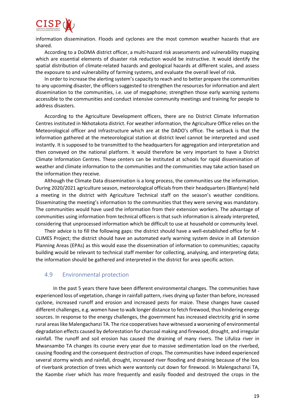

information dissemination. Floods and cyclones are the most common weather hazards that are shared.

According to a DoDMA district officer, a multi-hazard risk assessments and vulnerability mapping which are essential elements of disaster risk reduction would be instructive. It would identify the spatial distribution of climate-related hazards and geological hazards at different scales, and assess the exposure to and vulnerability of farming systems, and evaluate the overall level of risk.

In order to increase the alerting system's capacity to reach and to better prepare the communities to any upcoming disaster, the officers suggested to strengthen the resources for information and alert dissemination to the communities, i.e. use of megaphone; strengthen those early warning systems accessible to the communities and conduct intensive community meetings and training for people to address disasters.

According to the Agriculture Development officers, there are no District Climate Information Centres instituted in Nkhotakota district. For weather information, the Agriculture Office relies on the Meteorological officer and infrastructure which are at the DADO's office. The setback is that the information gathered at the meteorological station at district level cannot be interpreted and used instantly. It is supposed to be transmitted to the headquarters for aggregation and interpretation and then conveyed on the national platform. It would therefore be very important to have a District Climate Information Centres. These centers can be instituted at schools for rapid dissemination of weather and climate information to the communities and the communities may take action based on the information they receive.

Although the Climate Data dissemination is a long process, the communities use the information. During 2020/2021 agriculture season, meteorological officials from their headquarters (Blantyre) held a meeting in the district with Agriculture Technical staff on the season's weather conditions. Disseminating the meeting's information to the communities that they were serving was mandatory. The communities would have used the information from their extension workers. The advantage of communities using information from technical officers is that such information is already interpreted, considering that unprocessed information which be difficult to use at household or community level.

Their advice is to fill the following gaps: the district should have a well-established office for M - CLIMES Project; the district should have an automated early warning system device in all Extension Planning Areas (EPAs) as this would ease the dissemination of information to communities; capacity building would be relevant to technical staff member for collecting, analysing, and interpreting data; the information should be gathered and interpreted in the district for area specific action.

#### <span id="page-18-0"></span>4.9 Environmental protection

In the past 5 years there have been different environmental changes. The communities have experienced loss of vegetation, change in rainfall pattern, rives drying up faster than before, increased cyclone, increased runoff and erosion and increased pests for maize. These changes have caused different challenges, e.g. women have to walk longer distance to fetch firewood, thus hindering energy sources. In response to the energy challenges, the government has increased electricity grid in some rural areas like Malengachanzi TA. The rice cooperatives have witnessed a worsening of environmental degradation effects caused by deforestation for charcoal making and firewood, drought, and irregular rainfall. The runoff and soil erosion has caused the draining of many rivers. The Lifuliza river in Mwansambo TA changes its course every year due to massive sedimentation load on the riverbed, causing flooding and the consequent destruction of crops. The communities have indeed experienced several stormy winds and rainfall, drought, increased river flooding and draining because of the loss of riverbank protection of trees which were wantonly cut down for firewood. In Malengachanzi TA, the Kaombe river which has more frequently and easily flooded and destroyed the crops in the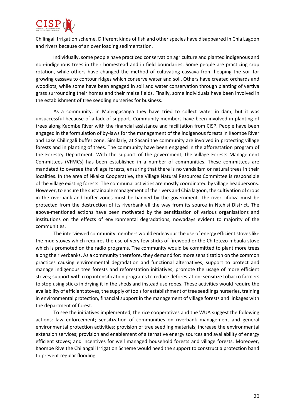

Chilingali Irrigation scheme. Different kinds of fish and other species have disappeared in Chia Lagoon and rivers because of an over loading sedimentation.

Individually, some people have practiced conservation agriculture and planted indigenous and non-indigenous trees in their homestead and in field boundaries. Some people are practicing crop rotation, while others have changed the method of cultivating cassava from heaping the soil for growing cassava to contour ridges which conserve water and soil. Others have created orchards and woodlots, while some have been engaged in soil and water conservation through planting of vertiva grass surrounding their homes and their maize fields. Finally, some individuals have been involved in the establishment of tree seedling nurseries for business.

As a community, in Malengasanga they have tried to collect water in dam, but it was unsuccessful because of a lack of support. Community members have been involved in planting of trees along Kaombe River with the financial assistance and facilitation from CISP. People have been engaged in the formulation of by-laws for the management of the indigenous forests in Kaombe River and Lake Chilingali buffer zone. Similarly, at Sasani the community are involved in protecting village forests and in planting of trees. The community have been engaged in the afforestation program of the Forestry Department. With the support of the government, the Village Forests Management Committees (VFMCs) has been established in a number of communities. These committees are mandated to oversee the village forests, ensuring that there is no vandalism or natural trees in their localities. In the area of Nkaika Cooperative, the Village Natural Resources Committee is responsible of the village existing forests. The communal activities are mostly coordinated by village headpersons. However, to ensure the sustainable management of the rivers and Chia lagoon, the cultivation of crops in the riverbank and buffer zones must be banned by the government. The river Lifuliza must be protected from the destruction of its riverbank all the way from its source in Ntchisi District. The above-mentioned actions have been motivated by the sensitisation of various organisations and institutions on the effects of environmental degradations, nowadays evident to majority of the communities.

The interviewed community members would endeavour the use of energy efficient stoves like the mud stoves which requires the use of very few sticks of firewood or the Chitetezo mbaula stove which is promoted on the radio programs. The community would be committed to plant more trees along the riverbanks. As a community therefore, they demand for: more sensitization on the common practices causing environmental degradation and functional alternatives; support to protect and manage indigenous tree forests and reforestation initiatives; promote the usage of more efficient stoves; support with crop intensification programs to reduce deforestation; sensitize tobacco farmers to stop using sticks in drying it in the sheds and instead use ropes. These activities would require the availability of efficient stoves, the supply of tools for establishment of tree seedlings nurseries, training in environmental protection, financial support in the management of village forests and linkages with the department of forest.

To see the initiatives implemented, the rice cooperatives and the WUA suggest the following actions: law enforcement; sensitization of communities on riverbank management and general environmental protection activities; provision of tree seedling materials; increase the environmental extension services; provision and enablement of alternative energy sources and availability of energy efficient stoves; and incentives for well managed household forests and village forests. Moreover, Kaombe Rive the Chilangali Irrigation Scheme would need the support to construct a protection band to prevent regular flooding.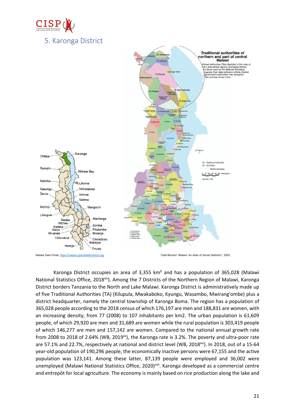

<span id="page-20-0"></span>

Karonga District occupies an area of 3,355  $km^2$  and has a population of 365,028 (Malawi National Statistics Office, 2018<sup>xiv</sup>). Among the 7 Districts of the Northern Region of Malawi, Karonga District borders Tanzania to the North and Lake Malawi. Karonga District is administratively made up of five Traditional Authorities (TA) (Kilupula, Mwakaboko, Kyungu, Wasambo, Mwirang'ombe) plus a district headquarter, namely the central township of Karonga Boma. The region has a population of 365,028 people according to the 2018 census of which 176,197 are men and 188,831 are women, with an increasing density, from 77 (2008) to 107 inhabitants per km2. The urban population is 61,609 people, of which 29,920 are men and 31,689 are women while the rural population is 303,419 people of which 146,277 are men and 157,142 are women. Compared to the national annual growth rate from 2008 to 2018 of 2.64% (WB, 2019 $^{xy}$ ), the Karonga rate is 3.2%. The poverty and ultra-poor rate are 57.1% and 22.7%, respectively at national and district level (WB, 2018<sup>xvi</sup>). In 2018, out of a 15-64 year-old population of 190,296 people, the economically inactive persons were 67,155 and the active population was 123,141. Among these latter, 87,139 people were employed and 36,002 were unemployed (Malawi National Statistics Office, 2020)<sup>xvii</sup>. Karonga developed as a commercial centre and entrepôt for local agriculture. The economy is mainly based on rice production along the lake and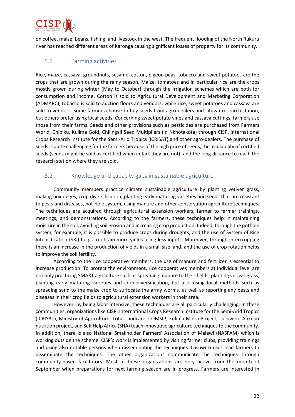

on coffee, maize, beans, fishing, and livestock in the west. The frequent flooding of the North Rukuru river has reached different areas of Karonga causing significant losses of property for its community.

#### <span id="page-21-0"></span>5.1 Farming activities

Rice, maize, cassava, groundnuts, sesame, cotton, pigeon peas, tobacco and sweet potatoes are the crops that are grown during the rainy season. Maize, tomatoes and in particular rice are the crops mostly grown during winter (May to October) through the irrigation schemes which are both for consumption and income. Cotton is sold to Agricultural Development and Marketing Corporation (ADMARC), tobacco is sold to auction floors and vendors, while rice, sweet potatoes and cassava are sold to vendors. Some farmers choose to buy seeds from agro-dealers and Lifuwu research station, but others prefer using local seeds. Concerning sweet potato vines and cassava cuttings, farmers use those from their farms. Seeds and other provisions such as pesticides are purchased from Farmers World, Chipiku, Kulima Gold, Chilingali Seed Multipliers (in Nkhotakota) through CISP, International Crops Research Institute for the Semi-Arid Tropics (ICRISAT) and other agro-dealers. The purchase of seeds is quite challenging for the farmers because of the high price of seeds, the availability of certified seeds (seeds might be sold as certified when in fact they are not), and the long distance to reach the research station where they are sold.

#### <span id="page-21-1"></span>5.2 Knowledge and capacity gaps in sustainable agriculture

Community members practice climate sustainable agriculture by planting vetiver grass, making box ridges, crop diversification, planting early maturing varieties and seeds that are resistant to pests and diseases, pot-hole system, using manure and other conservation agriculture techniques. The techniques are acquired through agricultural extension workers, farmer to farmer trainings, meetings, and demonstrations. According to the farmers, these techniques help in maintaining moisture in the soil, avoiding soil erosion and increasing crop production. Indeed, through the pothole system, for example, it is possible to produce crops during droughts, and the use of System of Rice Intensification (SRI) helps to obtain more yields using less inputs. Moreover, through intercropping there is an increase in the production of yields in a small size land, and the use of crop rotation helps to improve the soil fertility.

According to the rice cooperative members, the use of manure and fertilizer is essential to increase production. To protect the environment, rice cooperatives members at individual level are not only practicing SMART agriculture such as spreading manure to their fields, planting vetivar grass, planting early maturing varieties and crop diversification, but also using local methods such as spreading sand to the maize crop to suffocate the army worms, as well as reporting any pests and diseases in their crop fields to agricultural extension workers in their area.

However, by being labor intensive, these techniques are all particularly challenging. In these communities, organizations like CISP, International Crops Research Institute for the Semi-Arid Tropics (ICRISAT), Ministry of Agriculture, Total Landcare, COMSIP, Kulima Miera Project, Lusuwiro, Afikepo nutrition project, and Self Help Africa (SHA) teach innovative agriculture techniques to the community. In addition, there is also National Smallholder Farmers' Association of Malawi (NASFAM) which is working outside the scheme. CISP's work is implemented by visiting farmer clubs, providing trainings and using also notable persons when disseminating the techniques. Lusuwiro uses lead farmers to disseminate the techniques. The other organizations communicate the techniques through community-based facilitators. Most of these organizations are very active from the month of September when preparations for next farming season are in progress. Farmers are interested in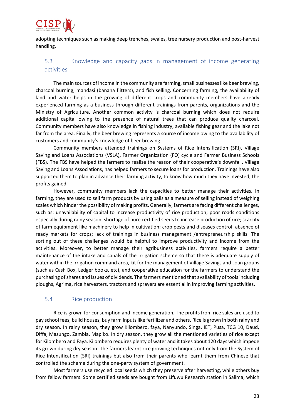

adopting techniques such as making deep trenches, swales, tree nursery production and post-harvest handling.

#### <span id="page-22-0"></span>5.3 Knowledge and capacity gaps in management of income generating activities

The main sources of income in the community are farming, small businesses like beer brewing, charcoal burning, mandasi (banana flitters), and fish selling. Concerning farming, the availability of land and water helps in the growing of different crops and community members have already experienced farming as a business through different trainings from parents, organizations and the Ministry of Agriculture. Another common activity is charcoal burning which does not require additional capital owing to the presence of natural trees that can produce quality charcoal. Community members have also knowledge in fishing industry, available fishing gear and the lake not far from the area. Finally, the beer brewing represents a source of income owing to the availability of customers and community's knowledge of beer brewing.

Community members attended trainings on Systems of Rice Intensification (SRI), Village Saving and Loans Associations (VSLA), Farmer Organization (FO) cycle and Farmer Business Schools (FBS). The FBS have helped the farmers to realize the reason of their cooperative's downfall. Village Saving and Loans Associations, has helped farmers to secure loans for production. Trainings have also supported them to plan in advance their farming activity, to know how much they have invested, the profits gained.

However, community members lack the capacities to better manage their activities. In farming, they are used to sell farm products by using pails as a measure of selling instead of weighing scales which hinder the possibility of making profits. Generally, farmers are facing different challenges, such as: unavailability of capital to increase productivity of rice production; poor roads conditions especially during rainy season; shortage of pure certified seeds to increase production of rice; scarcity of farm equipment like machinery to help in cultivation; crop pests and diseases control; absence of ready markets for crops; lack of trainings in business management /entrepreneurship skills. The sorting out of these challenges would be helpful to improve productivity and income from the activities. Moreover, to better manage their agribusiness activities, farmers require a better maintenance of the intake and canals of the irrigation scheme so that there is adequate supply of water within the irrigation command area, kit for the management of Village Savings and Loan groups (such as Cash Box, Ledger books, etc), and cooperative education for the farmers to understand the purchasing of shares and issues of dividends. The farmers mentioned that availability of tools including ploughs, Agrima, rice harvesters, tractors and sprayers are essential in improving farming activities.

#### <span id="page-22-1"></span>5.4 Rice production

Rice is grown for consumption and income generation. The profits from rice sales are used to pay school fees, build houses, buy farm inputs like fertilizer and others. Rice is grown in both rainy and dry season. In rainy season, they grow Kilombero, faya, Nanyundo, Singa, IET, Pusa, TCG 10, Daud, Diffa, Masungo, Zambia, Mapiko. In dry season, they grow all the mentioned varieties of rice except for Kilombero and Faya. Kilombero requires plenty of water and it takes about 120 days which impede its grown during dry season. The farmers learnt rice growing techniques not only from the System of Rice Intensification (SRI) trainings but also from their parents who learnt them from Chinese that controlled the scheme during the one-party system of government.

Most farmers use recycled local seeds which they preserve after harvesting, while others buy from fellow farmers. Some certified seeds are bought from Lifuwu Research station in Salima, which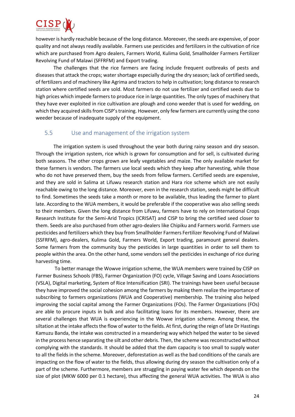

however is hardly reachable because of the long distance. Moreover, the seeds are expensive, of poor quality and not always readily available. Farmers use pesticides and fertilizers in the cultivation of rice which are purchased from Agro dealers, Farmers World, Kulima Gold, Smallholder Farmers Fertilizer Revolving Fund of Malawi (SFFRFM) and Export trading.

The challenges that the rice farmers are facing include frequent outbreaks of pests and diseases that attack the crops; water shortage especially during the dry season; lack of certified seeds, of fertilizers and of machinery like Agrima and tractors to help in cultivation; long distance to research station where certified seeds are sold. Most farmers do not use fertilizer and certified seeds due to high prices which impede farmers to produce rice in large quantities. The only types of machinery that they have ever exploited in rice cultivation are plough and cono weeder that is used for wedding, on which they acquired skills from CISP's training. However, only few farmers are currently using the cono weeder because of inadequate supply of the equipment.

#### <span id="page-23-0"></span>5.5 Use and management of the irrigation system

The irrigation system is used throughout the year both during rainy season and dry season. Through the irrigation system, rice which is grown for consumption and for sell, is cultivated during both seasons. The other crops grown are leafy vegetables and maize. The only available market for these farmers is vendors. The farmers use local seeds which they keep after harvesting, while those who do not have preserved them, buy the seeds from fellow farmers. Certified seeds are expensive, and they are sold in Salima at Lifuwu research station and Hara rice scheme which are not easily reachable owing to the long distance. Moreover, even in the research station, seeds might be difficult to find. Sometimes the seeds take a month or more to be available, thus leading the farmer to plant late. According to the WUA members, it would be preferable if the cooperative was also selling seeds to their members. Given the long distance from Lifuwu, farmers have to rely on International Crops Research Institute for the Semi-Arid Tropics (ICRISAT) and CISP to bring the certified seed closer to them. Seeds are also purchased from other agro-dealers like Chipiku and Farmers world. Farmers use pesticides and fertilizers which they buy from Smallholder Farmers Fertilizer Revolving Fund of Malawi (SSFRFM), agro-dealers, Kulima Gold, Farmers World, Export trading, paramount general dealers. Some farmers from the community buy the pesticides in large quantities in order to sell them to people within the area. On the other hand, some vendors sell the pesticides in exchange of rice during harvesting time.

To better manage the Wowve irrigation scheme, the WUA members were trained by CISP on Farmer Business Schools (FBS), Farmer Organization (FO) cycle, Village Saving and Loans Associations (VSLA), Digital marketing, System of Rice Intensification (SRI). The trainings have been useful because they have improved the social cohesion among the farmers by making them realize the importance of subscribing to farmers organizations (WUA and Cooperative) membership. The training also helped improving the social capital among the Farmer Organizations (FOs). The Farmer Organizations (FOs) are able to procure inputs in bulk and also facilitating loans for its members. However, there are several challenges that WUA is experiencing in the Wowve irrigation scheme. Among these, the siltation at the intake affects the flow of water to the fields. At first, during the reign of late Dr Hastings Kamuzu Banda, the intake was constructed in a meandering way which helped the water to be sieved in the process hence separating the silt and other debris. Then, the scheme was reconstructed without complying with the standards. It should be added that the dam capacity is too small to supply water to all the fields in the scheme. Moreover, deforestation as well as the bad conditions of the canals are impacting on the flow of water to the fields, thus allowing during dry season the cultivation only of a part of the scheme. Furthermore, members are struggling in paying water fee which depends on the size of plot (MKW 6000 per 0.1 hectare), thus affecting the general WUA activities. The WUA is also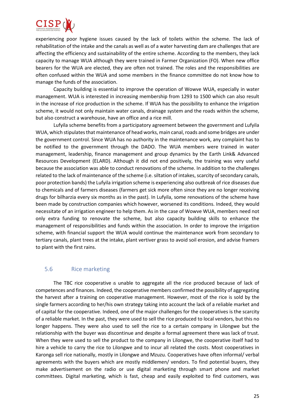

experiencing poor hygiene issues caused by the lack of toilets within the scheme. The lack of rehabilitation of the intake and the canals as well as of a water harvesting dam are challenges that are affecting the efficiency and sustainability of the entire scheme. According to the members, they lack capacity to manage WUA although they were trained in Farmer Organization (FO). When new office bearers for the WUA are elected, they are often not trained. The roles and the responsibilities are often confused within the WUA and some members in the finance committee do not know how to manage the funds of the association.

Capacity building is essential to improve the operation of Wowve WUA, especially in water management. WUA is interested in increasing membership from 1293 to 1500 which can also result in the increase of rice production in the scheme. If WUA has the possibility to enhance the irrigation scheme, it would not only maintain water canals, drainage system and the roads within the scheme, but also construct a warehouse, have an office and a rice mill.

Lufyila scheme benefits from a participatory agreement between the government and Lufyila WUA, which stipulates that maintenance of head works, main canal, roads and some bridges are under the government control. Since WUA has no authority in the maintenance work, any complaint has to be notified to the government through the DADO. The WUA members were trained in water management, leadership, finance management and group dynamics by the Earth Link& Advanced Resources Development (ELARD). Although it did not end positively, the training was very useful because the association was able to conduct renovations of the scheme. In addition to the challenges related to the lack of maintenance of the scheme (i.e. siltation of intakes, scarcity of secondary canals, poor protection bands) the Lufyila irrigation scheme is experiencing also outbreak of rice diseases due to chemicals and of farmers diseases (farmers get sick more often since they are no longer receiving drugs for bilharzia every six months as in the past). In Lufyila, some renovations of the scheme have been made by construction companies which however, worsened its conditions. Indeed, they would necessitate of an irrigation engineer to help them. As in the case of Wowve WUA, members need not only extra funding to renovate the scheme, but also capacity building skills to enhance the management of responsibilities and funds within the association. In order to improve the irrigation scheme, with financial support the WUA would continue the maintenance work from secondary to tertiary canals, plant trees at the intake, plant vertiver grass to avoid soil erosion, and advise framers to plant with the first rains.

#### <span id="page-24-0"></span>5.6 Rice marketing

The TBC rice cooperative is unable to aggregate all the rice produced because of lack of competences and finances. Indeed, the cooperative members confirmed the possibility of aggregating the harvest after a training on cooperative management. However, most of the rice is sold by the single farmers according to her/his own strategy taking into account the lack of a reliable market and of capital for the cooperative. Indeed, one of the major challenges for the cooperatives is the scarcity of a reliable market. In the past, they were used to sell the rice produced to local vendors, but this no longer happens. They were also used to sell the rice to a certain company in Lilongwe but the relationship with the buyer was discontinue and despite a formal agreement there was lack of trust. When they were used to sell the product to the company in Lilongwe, the cooperative itself had to hire a vehicle to carry the rice to Lilongwe and to incur all related the costs. Most cooperatives in Karonga sell rice nationally, mostly in Lilongwe and Mzuzu. Cooperatives have often informal/ verbal agreements with the buyers which are mostly middlemen/ vendors. To find potential buyers, they make advertisement on the radio or use digital marketing through smart phone and market committees. Digital marketing, which is fast, cheap and easily exploited to find customers, was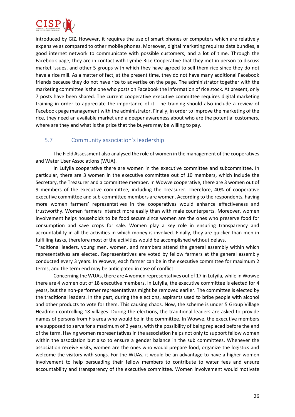

introduced by GIZ. However, it requires the use of smart phones or computers which are relatively expensive as compared to other mobile phones. Moreover, digital marketing requires data bundles, a good internet network to communicate with possible customers, and a lot of time. Through the Facebook page, they are in contact with Lymbe Rice Cooperative that they met in person to discuss market issues, and other 5 groups with which they have agreed to sell them rice since they do not have a rice mill. As a matter of fact, at the present time, they do not have many additional Facebook friends because they do not have rice to advertise on the page. The administrator together with the marketing committee is the one who posts on Facebook the information of rice stock. At present, only 7 posts have been shared. The current cooperative executive committee requires digital marketing training in order to appreciate the importance of it. The training should also include a review of Facebook page management with the administrator. Finally, in order to improve the marketing of the rice, they need an available market and a deeper awareness about who are the potential customers, where are they and what is the price that the buyers may be willing to pay.

### <span id="page-25-0"></span>5.7 Community association's leadership

The Field Assessment also analysed the role of women in the management of the cooperatives and Water User Associations (WUA).

In Lufyila cooperative there are women in the executive committee and subcommittee. In particular, there are 3 women in the executive committee out of 10 members, which include the Secretary, the Treasurer and a committee member. In Wowve cooperative, there are 3 women out of 9 members of the executive committee, including the Treasurer. Therefore, 40% of cooperative executive committee and sub-committee members are women. According to the respondents, having more women farmers' representatives in the cooperatives would enhance effectiveness and trustworthy. Women farmers interact more easily than with male counterparts. Moreover, women involvement helps households to be food secure since women are the ones who preserve food for consumption and save crops for sale. Women play a key role in ensuring transparency and accountability in all the activities in which money is involved. Finally, they are quicker than men in fulfilling tasks, therefore most of the activities would be accomplished without delays.

Traditional leaders, young men, women, and members attend the general assembly within which representatives are elected. Representatives are voted by fellow farmers at the general assembly conducted every 3 years. In Wowve, each farmer can be in the executive committee for maximum 2 terms, and the term end may be anticipated in case of conflict.

Concerning the WUAs, there are 4 women representatives out of 17 in Lufyila, while in Wowve there are 4 women out of 18 executive members. In Lufyila, the executive committee is elected for 4 years, but the non-performer representatives might be removed earlier. The committee is elected by the traditional leaders. In the past, during the elections, aspirants used to bribe people with alcohol and other products to vote for them. This causing chaos. Now, the scheme is under 5 Group Village Headmen controlling 18 villages. During the elections, the traditional leaders are asked to provide names of persons from his area who would be in the committee. In Wowve, the executive members are supposed to serve for a maximum of 3 years, with the possibility of being replaced before the end of the term. Having women representatives in the association helps not only to support fellow women within the association but also to ensure a gender balance in the sub committees. Whenever the association receive visits, women are the ones who would prepare food, organize the logistics and welcome the visitors with songs. For the WUAs, it would be an advantage to have a higher women involvement to help persuading their fellow members to contribute to water fees and ensure accountability and transparency of the executive committee. Women involvement would motivate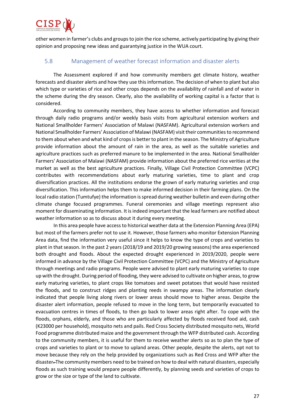

other women in farmer's clubs and groupsto join the rice scheme, actively participating by giving their opinion and proposing new ideas and guarantying justice in the WUA court.

#### <span id="page-26-0"></span>5.8 Management of weather forecast information and disaster alerts

The Assessment explored if and how community members get climate history, weather forecasts and disaster alerts and how they use this information. The decision of when to plant but also which type or varieties of rice and other crops depends on the availability of rainfall and of water in the scheme during the dry season. Clearly, also the availability of working capital is a factor that is considered.

According to community members, they have access to whether information and forecast through daily radio programs and/or weekly basis visits from agricultural extension workers and National Smallholder Farmers' Association of Malawi (NASFAM). Agricultural extension workers and National Smallholder Farmers' Association of Malawi (NASFAM) visit their communities to recommend to them about when and what kind of crops is better to plant in the season. The Ministry of Agriculture provide information about the amount of rain in the area, as well as the suitable varieties and agriculture practices such as preferred manure to be implemented in the area. National Smallholder Farmers' Association of Malawi (NASFAM) provide information about the preferred rice verities at the market as well as the best agriculture practices. Finally, Village Civil Protection Committee (VCPC) contributes with recommendations about early maturing varieties, time to plant and crop diversification practices. All the institutions endorse the grown of early maturing varieties and crop diversification. This information helps them to make informed decision in their farming plans. On the local radio station (Tumtufye) the information is spread during weather bulletin and even during other climate change focused programmes. Funeral ceremonies and village meetings represent also moment for disseminating information. It is indeed important that the lead farmers are notified about weather information so as to discuss about it during every meeting.

In this area people have access to historical weather data at the Extension Planning Area (EPA) but most of the farmers prefer not to use it. However, those farmers who monitor Extension Planning Area data, find the information very useful since it helps to know the type of crops and varieties to plant in that season. In the past 2 years (2018/19 and 2019/20 growing seasons) the area experienced both drought and floods. About the expected drought experienced in 2019/2020, people were informed in advance by the Village Civil Protection Committee (VCPC) and the Ministry of Agriculture through meetings and radio programs. People were advised to plant early maturing varieties to cope up with the drought. During period of flooding, they were advised to cultivate on higher areas, to grow early maturing varieties, to plant crops like tomatoes and sweet potatoes that would have resisted the floods, and to construct ridges and planting reeds in swampy areas. The information clearly indicated that people living along rivers or lower areas should move to higher areas. Despite the disaster alert information, people refused to move in the long term, but temporarily evacuated to evacuation centres in times of floods, to then go back to lower areas right after. To cope with the floods, orphans, elderly, and those who are particularly affected by floods received food aid, cash (K23000 per household), mosquito nets and pails. Red Cross Society distributed mosquito nets, World Food programme distributed maize and the government through the WFP distributed cash. According to the community members, it is useful for them to receive weather alerts so as to plan the type of crops and varieties to plant or to move to upland areas. Other people, despite the alerts, opt not to move because they rely on the help provided by organizations such as Red Cross and WFP after the disaster. The community members need to be trained on how to deal with natural disasters, especially floods as such training would prepare people differently, by planning seeds and varieties of crops to grow or the size or type of the land to cultivate.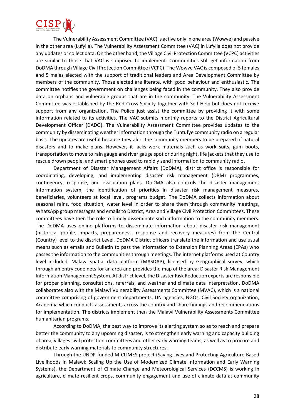

The Vulnerability Assessment Committee (VAC) is active only in one area (Wowve) and passive in the other area (Lufyila). The Vulnerability Assessment Committee (VAC) in Lufyila does not provide any updates or collect data. On the other hand, the Village Civil Protection Committee (VCPC) activities are similar to those that VAC is supposed to implement. Communities still get information from DoDMA through Village Civil Protection Committee (VCPC). The Wowve VAC is composed of 5 females and 5 males elected with the support of traditional leaders and Area Development Committee by members of the community. Those elected are literate, with good behaviour and enthusiastic. The committee notifies the government on challenges being faced in the community. They also provide data on orphans and vulnerable groups that are in the community. The Vulnerability Assessment Committee was established by the Red Cross Society together with Self Help but does not receive support from any organization. The Police just assist the committee by providing it with some information related to its activities. The VAC submits monthly reports to the District Agricultural Development Officer (DADO). The Vulnerability Assessment Committee provides updates to the community by disseminating weather information through the Tuntufye community radio on a regular basis. The updates are useful because they alert the community members to be prepared of natural disasters and to make plans. However, it lacks work materials such as work suits, gum boots, transportation to move to rain gauge and river gauge spot or during night, life jackets that they use to rescue drown people, and smart phones used to rapidly send information to community radio.

Department of Disaster Management Affairs (DoDMA), district office is responsible for coordinating, developing, and implementing disaster risk management (DRM) programmes, contingency, response, and evacuation plans. DoDMA also controls the disaster management information system, the identification of priorities in disaster risk management measures, beneficiaries, volunteers at local level, programs budget. The DoDMA collects information about seasonal rains, food situation, water level in order to share them through community meetings, WhatsApp group messages and emails to District, Area and Village Civil Protection Committees. These committees have then the role to timely disseminate such information to the community members. The DoDMA uses online platforms to disseminate information about disaster risk management (historical profile, impacts, preparedness, response and recovery measures) from the Central (Country) level to the district Level. DoDMA District officers translate the information and use usual means such as emails and Bulletin to pass the information to Extension Planning Areas (EPAs) who passes the information to the communities through meetings. The internet platforms used at Country level included: Malawi spatial data platform (MASDAP), licensed by Geographical survey, which through an entry code nets for an area and provides the map of the area; Disaster Risk Management Information Management System. At district level, the Disaster Risk Reductionexperts are responsible for proper planning, consultations, referrals, and weather and climate data interpretation. DoDMA collaborates also with the Malawi Vulnerability Assessments Committee (MVAC), which is a national committee comprising of government departments, UN agencies, NGOs, Civil Society organization, Academia which conducts assessments across the country and share findings and recommendations for implementation. The districts implement then the Malawi Vulnerability Assessments Committee humanitarian programs.

According to DoDMA, the best way to improve its alerting system so as to reach and prepare better the community to any upcoming disaster, is to strengthen early warning and capacity building of area, villages civil protection committees and other early warning teams, as well as to procure and distribute early warning materials to community structures.

Through the UNDP-funded M-CLIMES project (Saving Lives and Protecting Agriculture Based Livelihoods in Malawi: Scaling Up the Use of Modernized Climate Information and Early Warning Systems), the Department of Climate Change and Meteorological Services (DCCMS) is working in agriculture, climate resilient crops, community engagement and use of climate data at community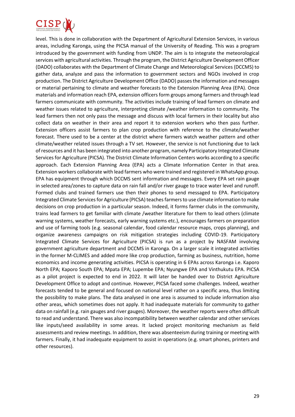

level. This is done in collaboration with the Department of Agricultural Extension Services, in various areas, including Karonga, using the PICSA manual of the University of Reading. This was a program introduced by the government with funding from UNDP. The aim is to integrate the meteorological services with agricultural activities. Through the program, the District Agriculture Development Officer (DADO) collaborates with the Department of Climate Change and Meteorological Services (DCCMS) to gather data, analyze and pass the information to government sectors and NGOs involved in crop production. The District Agriculture Development Office (DADO) passes the information and messages or material pertaining to climate and weather forecasts to the Extension Planning Area (EPA). Once materials and information reach EPA, extension officers form groups among farmers and through lead farmers communicate with community. The activities include training of lead farmers on climate and weather issues related to agriculture, interpreting climate /weather information to community. The lead farmers then not only pass the message and discuss with local farmers in their locality but also collect data on weather in their area and report it to extension workers who then pass further. Extension officers assist farmers to plan crop production with reference to the climate/weather forecast. There used to be a center at the district where farmers watch weather pattern and other climate/weather related issues through a TV set. However, the service is not functioning due to lack of resources and it has been integrated into another program, namely Participatory Integrated Climate Services for Agriculture (PICSA). The District Climate Information Centers works according to a specific approach. Each Extension Planning Area (EPA) acts a Climate Information Center in that area. Extension workers collaborate with lead farmers who were trained and registered in WhatsApp group. EPA has equipment through which DCCMS sent information and messages. Every EPA set rain gauge in selected area/zones to capture data on rain fall and/or river gauge to trace water level and runoff. Formed clubs and trained farmers use then their phones to send messaged to EPA. Participatory Integrated Climate Services for Agriculture (PICSA) teaches farmers to use climate information to make decisions on crop production in a particular season. Indeed, it forms farmer clubs in the community, trains lead farmers to get familiar with climate /weather literature for them to lead others (climate warning systems, weather forecasts, early warning systems etc.), encourages farmers on preparation and use of farming tools (e.g. seasonal calendar, food calendar resource maps, crops planning), and organize awareness campaigns on risk mitigation strategies including COVID-19. Participatory Integrated Climate Services for Agriculture (PICSA) is run as a project by NASFAM involving government agriculture department and DCCMS in Karonga. On a larger scale it integrated activities in the former M-CLIMES and added more like crop production, farming as business, nutrition, home economics and income generating activities. PICSA is operating in 6 EPAs across Karonga i.e. Kaporo North EPA; Kaporo South EPA; Mpata EPA; Lupembe EPA; Nyungwe EPA and Vinthukutu EPA. PICSA as a pilot project is expected to end in 2022. It will later be handed over to District Agriculture Development Office to adopt and continue. However, PICSA faced some challenges. Indeed, weather forecasts tended to be general and focused on national level rather on a specific area, thus limiting the possibility to make plans. The data analysed in one area is assumed to include information also other areas, which sometimes does not apply. It had inadequate materials for community to gather data on rainfall (e.g. rain gauges and river gauges). Moreover, the weather reports were often difficult to read and understand. There was also incompatibility between weather calendar and other services like inputs/seed availability in some areas. It lacked project monitoring mechanism as field assessments and review meetings. In addition, there was absenteeism during training or meeting with farmers. Finally, it had inadequate equipment to assist in operations (e.g. smart phones, printers and other resources).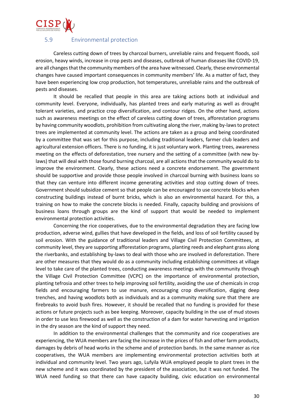## <span id="page-29-0"></span>5.9 Environmental protection

Careless cutting down of trees by charcoal burners, unreliable rains and frequent floods, soil erosion, heavy winds, increase in crop pests and diseases, outbreak of human diseases like COVID-19, are all changes that the community members of the area have witnessed. Clearly, these environmental changes have caused important consequences in community members' life. As a matter of fact, they have been experiencing low crop production, hot temperatures, unreliable rains and the outbreak of pests and diseases.

It should be recalled that people in this area are taking actions both at individual and community level. Everyone, individually, has planted trees and early maturing as well as drought tolerant varieties, and practice crop diversification, and contour ridges. On the other hand, actions such as awareness meetings on the effect of careless cutting down of trees, afforestation programs by having community woodlots, prohibition from cultivating along the river, making by-laws to protect trees are implemented at community level. The actions are taken as a group and being coordinated by a committee that was set for this purpose, including traditional leaders, farmer club leaders and agricultural extension officers. There is no funding, it is just voluntary work. Planting trees, awareness meeting on the effects of deforestation, tree nursery and the setting of a committee (with new bylaws) that will deal with those found burning charcoal, are all actions that the community would do to improve the environment. Clearly, these actions need a concrete endorsement. The government should be supportive and provide those people involved in charcoal burning with business loans so that they can venture into different income generating activities and stop cutting down of trees. Government should subsidize cement so that people can be encouraged to use concrete blocks when constructing buildings instead of burnt bricks, which is also an environmental hazard. For this, a training on how to make the concrete blocks is needed. Finally, capacity building and provisions of business loans through groups are the kind of support that would be needed to implement environmental protection activities.

Concerning the rice cooperatives, due to the environmental degradation they are facing low production, adverse wind, gullies that have developed in the fields, and loss of soil fertility caused by soil erosion. With the guidance of traditional leaders and Village Civil Protection Committees, at community level, they are supporting afforestation programs, planting reeds and elephant grass along the riverbanks, and establishing by-laws to deal with those who are involved in deforestation. There are other measures that they would do as a community including establishing committees at village level to take care of the planted trees, conducting awareness meetings with the community through the Village Civil Protection Committee (VCPC) on the importance of environmental protection, planting tefrosia and other trees to help improving soil fertility, avoiding the use of chemicals in crop fields and encouraging farmers to use manure, encouraging crop diversification, digging deep trenches, and having woodlots both as individuals and as a community making sure that there are firebreaks to avoid bush fires. However, it should be recalled that no funding is provided for these actions or future projects such as bee keeping. Moreover, capacity building in the use of mud stoves in order to use less firewood as well as the construction of a dam for water harvesting and irrigation in the dry season are the kind of support they need.

In addition to the environmental challenges that the community and rice cooperatives are experiencing, the WUA members are facing the increase in the prices of fish and other farm products, damages by debris of head works in the scheme and of protection bands. In the same manner as rice cooperatives, the WUA members are implementing environmental protection activities both at individual and community level. Two years ago, Lufyila WUA employed people to plant trees in the new scheme and it was coordinated by the president of the association, but it was not funded. The WUA need funding so that there can have capacity building, civic education on environmental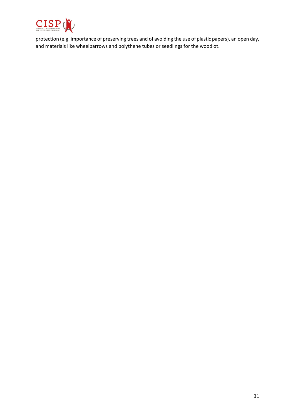

protection (e.g. importance of preserving trees and of avoiding the use of plastic papers), an open day, and materials like wheelbarrows and polythene tubes or seedlings for the woodlot.